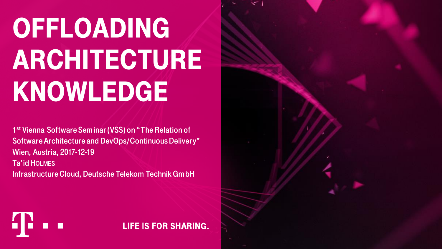# **OFFLOADING ARCHITECTURE KNOWLEDGE**

1<sup>st</sup> Vienna Software Seminar (VSS) on "The Relation of Software Architecture and DevOps/Continuous Delivery" Wien, Austria, 2017-12-19 Ta'id HOLMES Infrastructure Cloud, Deutsche Telekom Technik GmbH

H.

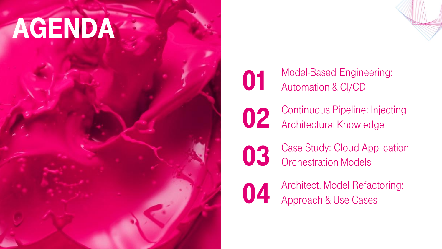# Agenda



**01** Model-Based Engineering:<br>Automation & CI/CD Automation & CI/CD

02 Continuous Pipeline: Injecting Architectural Knowledge

**03** Case Study: Cloud Application Orchestration Models

04 Architect. Model Refactoring:<br>Approach & Use Cases Approach & Use Cases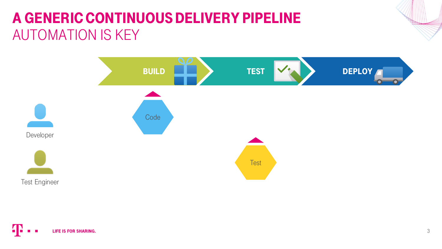#### A Generic Continuous Delivery Pipeline AUTOMATION IS KEY

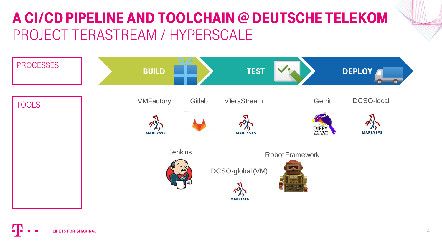#### A CI/CD Pipeline and ToolCHain @ Deutsche Telekom PROJECT TERASTREAM / HYPERSCALE

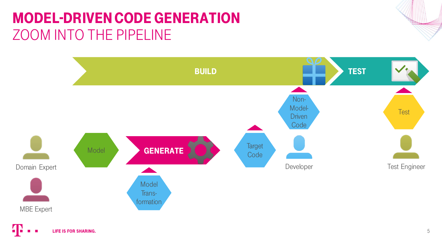## Model-Driven Code Generation ZOOM INTO THE PIPELINE

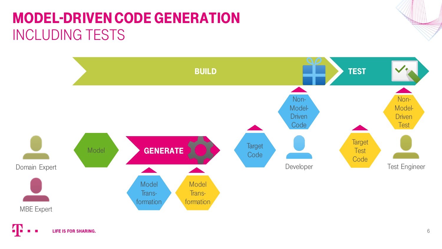### Model-Driven Code Generation INCLUDING TESTS

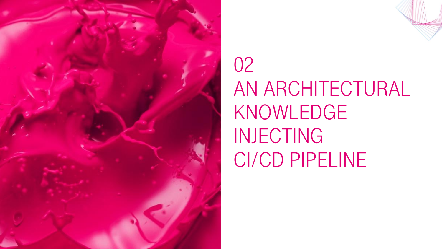

## 02 AN ARCHITECTURAL Knowledge **INJECTING** CI/CD Pipeline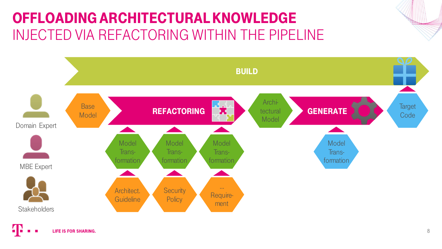### Offloading Architectural Knowledge INJECTED VIA REFACTORING WITHIN THE PIPELINE

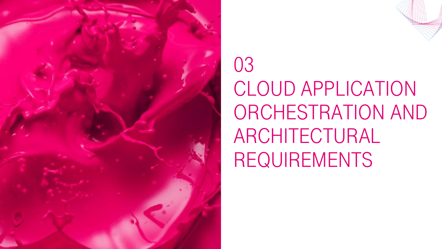

## 03 CLOUD APPLICATION Orchestration AND ARCHITECTURAL **REQUIREMENTS**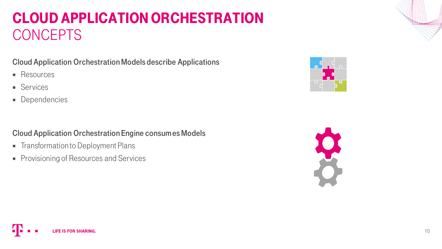#### Cloud Application Orchestration **CONCEPTS**

#### Cloud Application Orchestration Models describe Applications

- **Resources**
- **Services**
- **Dependencies**

#### Cloud Application Orchestration Engine consumes Models

- **Figure 1** Transformation to Deployment Plans
- **Provisioning of Resources and Services**



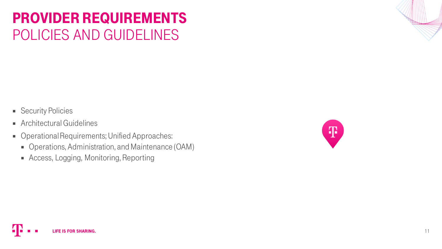#### Provider Requirements POLICIES AND GUIDELINES

- Security Policies
- **Architectural Guidelines**
- Operational Requirements; Unified Approaches:
	- Operations, Administration, and Maintenance (OAM)
	- Access, Logging, Monitoring, Reporting

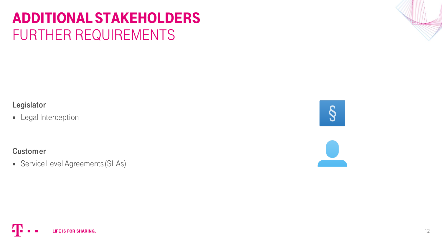#### Additional Stakeholders FURTHER REQUIREMENTS

Legislator

**Legal Interception** 

**Customer** 

**Service Level Agreements (SLAs)** 

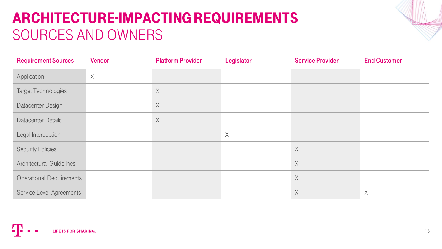### Architecture-impacting Requirements SOURCES AND OWNERS

| <b>Requirement Sources</b>      | Vendor | <b>Platform Provider</b> | Legislator | <b>Service Provider</b> | <b>End-Customer</b> |
|---------------------------------|--------|--------------------------|------------|-------------------------|---------------------|
| Application                     | $\chi$ |                          |            |                         |                     |
| <b>Target Technologies</b>      |        | X                        |            |                         |                     |
| Datacenter Design               |        | X                        |            |                         |                     |
| <b>Datacenter Details</b>       |        | X                        |            |                         |                     |
| Legal Interception              |        |                          | $\times$   |                         |                     |
| <b>Security Policies</b>        |        |                          |            | X                       |                     |
| <b>Architectural Guidelines</b> |        |                          |            | X                       |                     |
| <b>Operational Requirements</b> |        |                          |            | $\times$                |                     |
| Service Level Agreements        |        |                          |            | $\mathsf X$             | $\chi$              |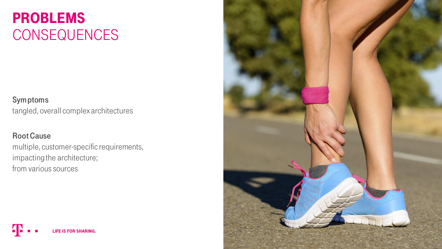#### **PROBLEMS CONSEQUENCES**

#### Symptoms

tangled, overall complex architectures

#### Root Cause

multiple, customer-specific requirements, impacting the architecture; from various sources

**LIFE IS FOR SHARING.** 

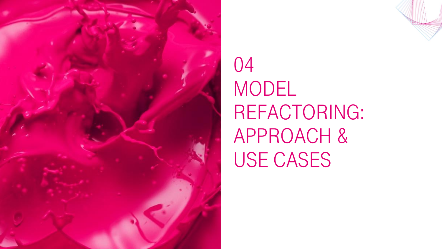

## 04 **MODEL** REFACTORING: Approach & USE CASES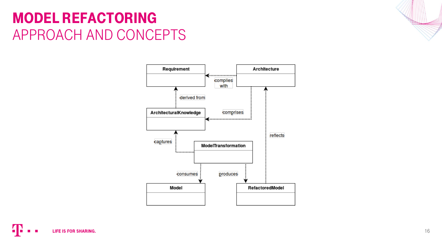#### Model Refactoring APPROACH AND CONCEPTS



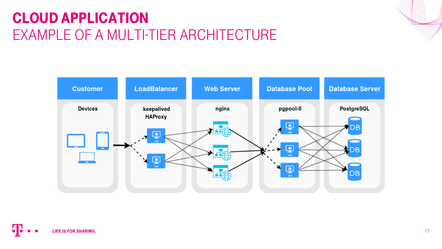### CLOUD APPLICATION EXAMPLE OF A MULTI-TIER ARCHITECTURE



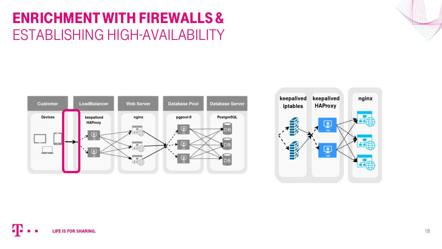#### Enrichment with Firewalls & ESTABLISHING HIGH-AVAILABILITY



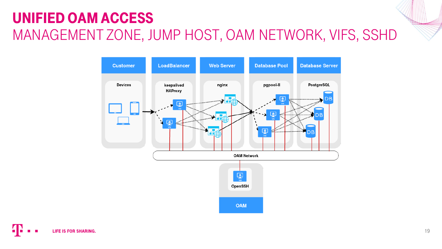### Unified OAM Access MANAGEMENT ZONE, JUMP HOST, OAM NETWORK, VIFS, SSHD

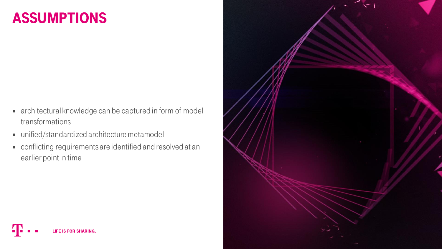#### **ASSUMPTIONS**

- architectural knowledge can be captured in form of model transformations
- unified/standardized architecture metamodel

**LIFE IS FOR SHARING.** 

 conflicting requirements are identified and resolved at an earlier point in time

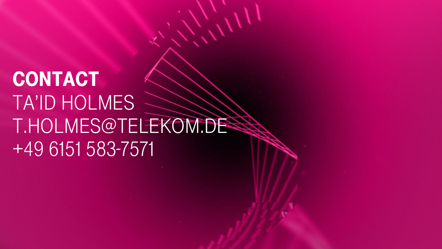## CONTACT Ta'id Holmes t.holmes@telekom.de +49 6151 583-7571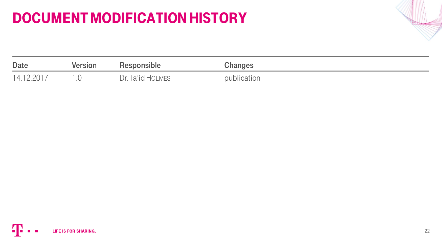### Document Modification History

| <b>Date</b> | <b>Version</b> | <b>Responsible</b> | Changes     |
|-------------|----------------|--------------------|-------------|
| 14 12 2017  |                | Dr. Ta'id HOLMES   | publication |